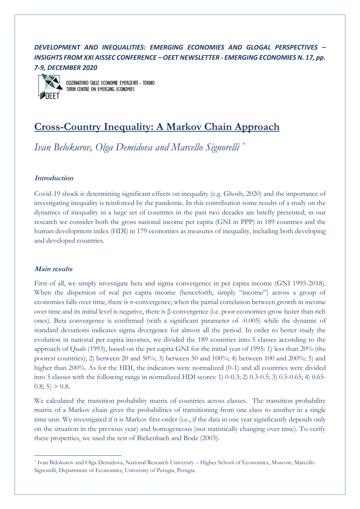# *DEVELOPMENT AND INEQUALITIES: EMERGING ECONOMIES AND GLOGAL PERSPECTIVES – INSIGHTS FROM XXI AISSEC CONFERENCE – OEET NEWSLETTER - EMERGING ECONOMIES N. 17, pp. 7-9, DECEMBER 2020*



OSSERVATORIO SULLE ECONOMIE EMERGENTI - TORINO TURIN CENTRE ON EMERGING ECONOMIES

# **Cross-Country Inequality: A Markov Chain Approach**

*Ivan Belokurov, Olga Demidova and Marcello Signorelli \**

## **Introduction**

Covid-19 shock is determining significant effects on inequality (e.g. Ghosh, 2020) and the importance of investigating inequality is reinforced by the pandemic. In this contribution some results of a study on the dynamics of inequality in a large set of countries in the past two decades are briefly presented; in our research we consider both the gross national income per capita (GNI in PPP) in 189 countries and the human development index (HDI) in 179 economies as measures of inequality, including both developing and developed countries.

#### **Main results**

First of all, we simply investigate beta and sigma convergence in per capita income (GNI 1995-2018). When the dispersion of real per capita income (henceforth, simply "income") across a group of economies falls over time, there is σ-convergence; when the partial correlation between growth in income over time and its initial level is negative, there is β-convergence (i.e. poor economies grow faster than rich ones). Beta convergence is confirmed (with a significant parameter of -0.005) while the dynamic of standard deviations indicates sigma divergence for almost all the period. In order to better study the evolution in national per capita incomes, we divided the 189 countries into 5 classes according to the approach of Quah (1993), based on the per capita GNI for the initial year of 1995: 1) less than 20% (the poorest countries); 2) between 20 and 50%; 3) between 50 and 100%; 4) between 100 and 200%; 5) and higher than 200%. As for the HDI, the indicators were normalized (0-1) and all countries were divided into 5 classes with the following range in normalized HDI scores: 1) 0-0.3; 2) 0.3-0.5; 3) 0.5-0.65; 4) 0.65-  $0.8; 5) > 0.8.$ 

We calculated the transition probability matrix of countries across classes. The transition probability matrix of a Markov chain gives the probabilities of transitioning from one class to another in a single time unit. We investigated if it is Markov first-order (i.e., if the data in one year significantly depends only on the situation in the previous year) and homogeneous (not statistically changing over time). To verify these properties, we used the test of Bickenbach and Bode (2003).

<sup>\*</sup> Ivan Belokurov and Olga Demidova, National Research University – Higher School of Economics, Moscow; Marcello Signorelli, Department of Economics, University of Perugia, Perugia.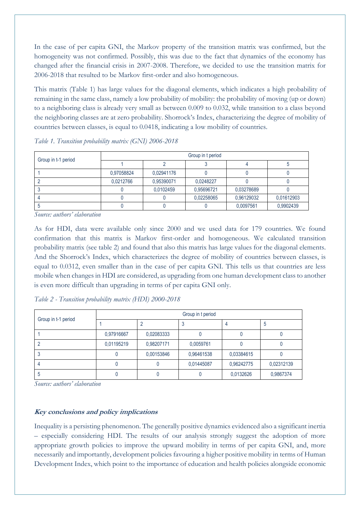In the case of per capita GNI, the Markov property of the transition matrix was confirmed, but the homogeneity was not confirmed. Possibly, this was due to the fact that dynamics of the economy has changed after the financial crisis in 2007-2008. Therefore, we decided to use the transition matrix for 2006-2018 that resulted to be Markov first-order and also homogeneous.

This matrix (Table 1) has large values for the diagonal elements, which indicates a high probability of remaining in the same class, namely a low probability of mobility: the probability of moving (up or down) to a neighboring class is already very small as between 0.009 to 0.032, while transition to a class beyond the neighboring classes are at zero probability. Shorrock's Index, characterizing the degree of mobility of countries between classes, is equal to 0.0418, indicating a low mobility of countries.

| Group in t-1 period | Group in t period |            |            |            |            |  |
|---------------------|-------------------|------------|------------|------------|------------|--|
|                     |                   |            |            |            |            |  |
|                     | 0,97058824        | 0,02941176 |            |            |            |  |
|                     | 0,0212766         | 0,95390071 | 0.0248227  |            |            |  |
|                     |                   | 0,0102459  | 0,95696721 | 0.03278689 |            |  |
|                     |                   |            | 0,02258065 | 0.96129032 | 0,01612903 |  |
|                     |                   |            |            | 0,0097561  | 0,9902439  |  |

*Table 1. Transition probability matrix (GNI) 2006-2018*

*Source: authors' elaboration*

As for HDI, data were available only since 2000 and we used data for 179 countries. We found confirmation that this matrix is Markov first-order and homogeneous. We calculated transition probability matrix (see table 2) and found that also this matrix has large values for the diagonal elements. And the Shorrock's Index, which characterizes the degree of mobility of countries between classes, is equal to 0.0312, even smaller than in the case of per capita GNI. This tells us that countries are less mobile when changes in HDI are considered, as upgrading from one human development class to another is even more difficult than upgrading in terms of per capita GNI only.

| Group in t-1 period | Group in t period |            |            |            |            |  |  |
|---------------------|-------------------|------------|------------|------------|------------|--|--|
|                     |                   |            |            |            | b          |  |  |
|                     | 0,97916667        | 0.02083333 |            |            |            |  |  |
|                     | 0,01195219        | 0,98207171 | 0.0059761  |            |            |  |  |
|                     |                   | 0,00153846 | 0,96461538 | 0,03384615 |            |  |  |
|                     |                   |            | 0,01445087 | 0,96242775 | 0,02312139 |  |  |
|                     |                   |            |            | 0,0132626  | 0,9867374  |  |  |

*Table 2 - Transition probability matrix (HDI) 2000-2018*

*Source: authors' elaboration*

## **Key conclusions and policy implications**

Inequality is a persisting phenomenon. The generally positive dynamics evidenced also a significant inertia – especially considering HDI. The results of our analysis strongly suggest the adoption of more appropriate growth policies to improve the upward mobility in terms of per capita GNI, and, more necessarily and importantly, development policies favouring a higher positive mobility in terms of Human Development Index, which point to the importance of education and health policies alongside economic